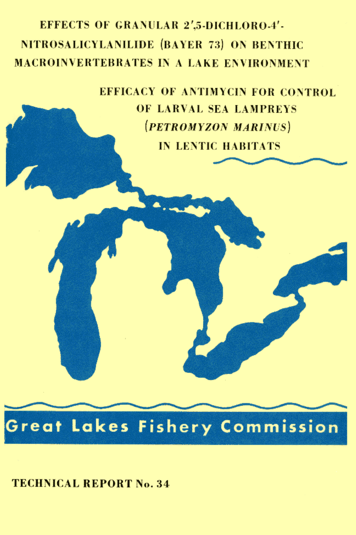# **EFFECTS OF GRANULAR 2',5-DICHLORO-4'-**NITROSALICYLANILIDE (BAYER 73) ON BENTHIC **MACROINVERTEBRATES IN A LAKE ENVIRONMENT**

**EFFICACY OF ANTIMYCIN FOR CONTROL** OF LARVAL SEA LAMPREYS (PETROMYZON MARINUS) **IN LENTIC HABITATS** 



**TECHNICAL REPORT No. 34**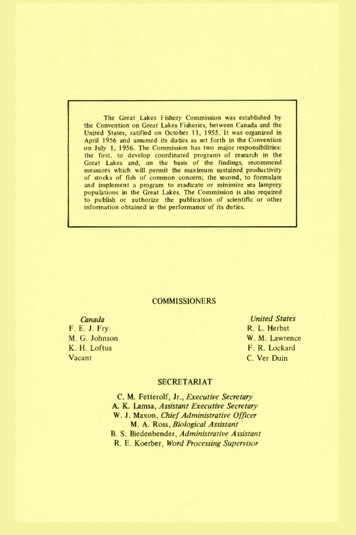The Great Lakes Fishery Commission was established by the Convention on Great Lakes Fisheries, between Canada and the United States, ratified on October 11, 1955. It was organized in April 1956 and assumed its duties as set forth in the Convention on July 1, 1956. The Commission has two major responsibilities: the first, to develop coordinated programs of research in the Great Lakes and, on the basis of the findings, recommend measures which will permit the maximum sustained productivity of stocks of fish of common concern; the second, to formulate and implement a program to eradicate or minimize sea lamprey populations in the Great Lakes. The Commission is also required to publish or authorize the publication of scientific or other information obtained in the performance of its duties.

### **COMMISSIONERS**

Canada F. E. J. Fry M. G. Johnson K. H. Loftus Vacant

**United States** R. L. Herbst W. M. Lawrence F. R. Lockard C. Ver Duin

#### **SECRETARIAT**

C. M. Fetterolf, Jr., Executive Secretary A. K. Lamsa, Assistant Executive Secretary W. J. Maxon, Chief Administrative Officer M. A. Ross, Biological Assistant B. S. Biedenbender, Administrative Assistant R. E. Koerber, Word Processing Supervisor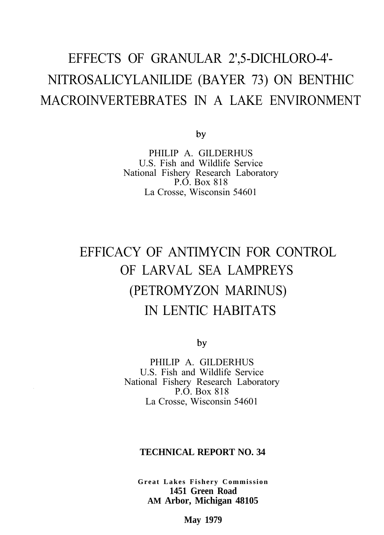# EFFECTS OF GRANULAR 2',5-DICHLORO-4'- NITROSALICYLANILIDE (BAYER 73) ON BENTHIC MACROINVERTEBRATES IN A LAKE ENVIRONMENT

by

PHILIP A. GILDERHUS U.S. Fish and Wildlife Service National Fishery Research Laboratory P.O. Box 818 La Crosse, Wisconsin 54601

# EFFICACY OF ANTIMYCIN FOR CONTROL OF LARVAL SEA LAMPREYS (PETROMYZON MARINUS) IN LENTIC HABITATS

by

PHILIP A. GILDERHUS U.S. Fish and Wildlife Service National Fishery Research Laboratory P.O. Box 818 La Crosse, Wisconsin 54601

# **TECHNICAL REPORT NO. 34**

**Great Lakes Fishery Commission 1451 Green Road AM Arbor, Michigan 48105**

**May 1979**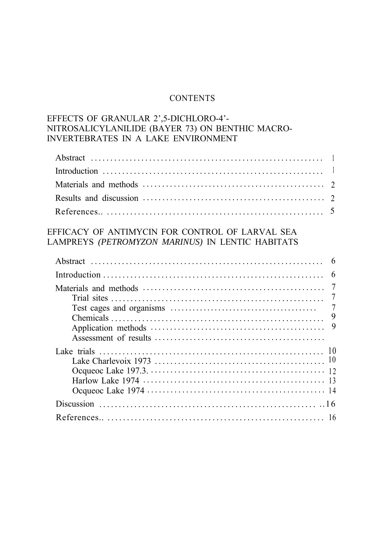## **CONTENTS**

# EFFECTS OF GRANULAR 2',5-DICHLORO-4'- NITROSALICYLANILIDE (BAYER 73) ON BENTHIC MACRO-INVERTEBRATES IN A LAKE ENVIRONMENT

# EFFICACY OF ANTIMYCIN FOR CONTROL OF LARVAL SEA LAMPREYS *(PETROMYZON MARINUS)* IN LENTIC HABITATS

| Abstract<br>6                                                                                                                            |
|------------------------------------------------------------------------------------------------------------------------------------------|
| 6                                                                                                                                        |
| 7                                                                                                                                        |
| 9                                                                                                                                        |
|                                                                                                                                          |
| Discussion $\ldots$ $\ldots$ $\ldots$ $\ldots$ $\ldots$ $\ldots$ $\ldots$ $\ldots$ $\ldots$ $\ldots$ $\ldots$ $\ldots$ $\ldots$ $\ldots$ |
|                                                                                                                                          |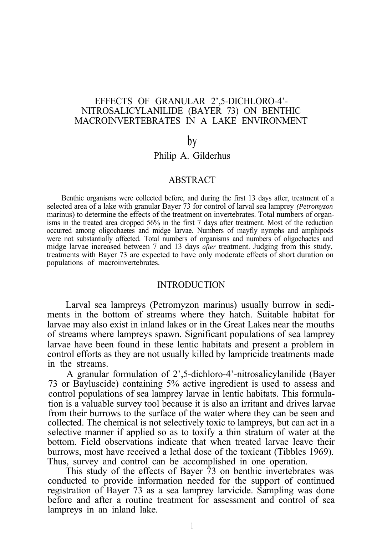## EFFECTS OF GRANULAR 2',5-DICHLORO-4'- NITROSALICYLANILIDE (BAYER 73) ON BENTHIC MACROINVERTEBRATES IN A LAKE ENVIRONMENT

#### by

# Philip A. Gilderhus

#### ABSTRACT

Benthic organisms were collected before, and during the first 13 days after, treatment of a selected area of a lake with granular Bayer 73 for control of larval sea lamprey *(Petromyzon* marinus) to determine the effects of the treatment on invertebrates. Total numbers of organisms in the treated area dropped 56% in the first 7 days after treatment. Most of the reduction occurred among oligochaetes and midge larvae. Numbers of mayfly nymphs and amphipods were not substantially affected. Total numbers of organisms and numbers of oligochaetes and midge larvae increased between 7 and 13 days *after* treatment. Judging from this study, treatments with Bayer 73 are expected to have only moderate effects of short duration on populations of macroinvertebrates.

#### **INTRODUCTION**

Larval sea lampreys (Petromyzon marinus) usually burrow in sediments in the bottom of streams where they hatch. Suitable habitat for larvae may also exist in inland lakes or in the Great Lakes near the mouths of streams where lampreys spawn. Significant populations of sea lamprey larvae have been found in these lentic habitats and present a problem in control efforts as they are not usually killed by lampricide treatments made in the streams.

A granular formulation of 2',5-dichloro-4'-nitrosalicylanilide (Bayer 73 or Bayluscide) containing 5% active ingredient is used to assess and control populations of sea lamprey larvae in lentic habitats. This formulation is a valuable survey tool because it is also an irritant and drives larvae from their burrows to the surface of the water where they can be seen and collected. The chemical is not selectively toxic to lampreys, but can act in a selective manner if applied so as to toxify a thin stratum of water at the bottom. Field observations indicate that when treated larvae leave their burrows, most have received a lethal dose of the toxicant (Tibbles 1969). Thus, survey and control can be accomplished in one operation.

This study of the effects of Bayer 73 on benthic invertebrates was conducted to provide information needed for the support of continued registration of Bayer 73 as a sea lamprey larvicide. Sampling was done before and after a routine treatment for assessment and control of sea lampreys in an inland lake.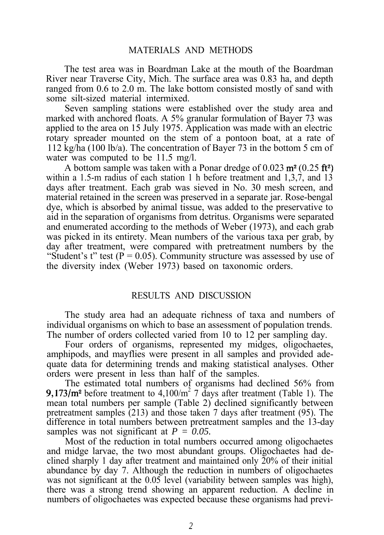# MATERIALS AND METHODS

The test area was in Boardman Lake at the mouth of the Boardman River near Traverse City, Mich. The surface area was 0.83 ha, and depth ranged from 0.6 to 2.0 m. The lake bottom consisted mostly of sand with some silt-sized material intermixed.

Seven sampling stations were established over the study area and marked with anchored floats. A 5% granular formulation of Bayer 73 was applied to the area on 15 July 1975. Application was made with an electric rotary spreader mounted on the stem of a pontoon boat, at a rate of 112 kg/ha (100 lb/a). The concentration of Bayer 73 in the bottom 5 cm of water was computed to be 11.5 mg/l.

A bottom sample was taken with a Ponar dredge of  $0.023 \text{ m}^2 (0.25 \text{ ft}^2)$ within a 1.5-m radius of each station 1 h before treatment and 1.3.7, and 13 days after treatment. Each grab was sieved in No. 30 mesh screen, and material retained in the screen was preserved in a separate jar. Rose-bengal dye, which is absorbed by animal tissue, was added to the preservative to aid in the separation of organisms from detritus. Organisms were separated and enumerated according to the methods of Weber (1973), and each grab was picked in its entirety. Mean numbers of the various taxa per grab, by day after treatment, were compared with pretreatment numbers by the "Student's t" test ( $P = 0.05$ ). Community structure was assessed by use of the diversity index (Weber 1973) based on taxonomic orders.

## RESULTS AND DISCUSSION

The study area had an adequate richness of taxa and numbers of individual organisms on which to base an assessment of population trends. The number of orders collected varied from 10 to 12 per sampling day.

Four orders of organisms, represented my midges, oligochaetes, amphipods, and mayflies were present in all samples and provided adequate data for determining trends and making statistical analyses. Other orders were present in less than half of the samples.

The estimated total numbers of organisms had declined 56% from **9,173/m<sup>2</sup>** before treatment to 4,100/m<sup>2</sup> 7 days after treatment (Table 1). The mean total numbers per sample (Table 2) declined significantly between pretreatment samples (213) and those taken 7 days after treatment (95). The difference in total numbers between pretreatment samples and the 13-day samples was not significant at *P = 0.05.*

Most of the reduction in total numbers occurred among oligochaetes and midge larvae, the two most abundant groups. Oligochaetes had declined sharply 1 day after treatment and maintained only 20% of their initial abundance by day 7. Although the reduction in numbers of oligochaetes was not significant at the 0.05 level (variability between samples was high), there was a strong trend showing an apparent reduction. A decline in numbers of oligochaetes was expected because these organisms had previ-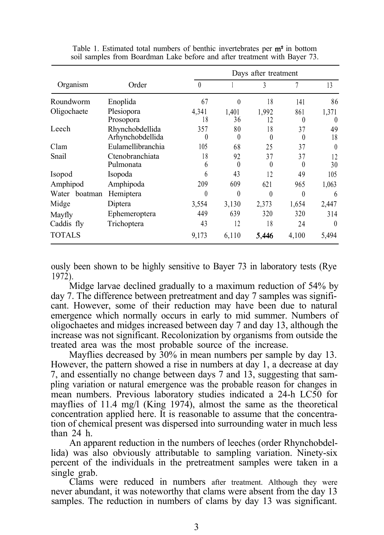|               |                                     | Days after treatment |                |                  |                 |                           |  |
|---------------|-------------------------------------|----------------------|----------------|------------------|-----------------|---------------------------|--|
| Organism      | Order                               | $\theta$             |                | 3                | 7               | 13                        |  |
| Roundworm     | Enoplida                            | 67                   | $\theta$       | 18               | 141             | 86                        |  |
| Oligochaete   | Plesiopora<br>Prosopora             | 4,341<br>18          | 1.401<br>36    | 1.992<br>$12 \,$ | 861<br>$\theta$ | 1,371<br>$\left( \right)$ |  |
| Leech         | Rhynchobdellida<br>Arhynchobdellida | 357<br>$\theta$      | 80<br>0        | 18<br>$\theta$   | 37<br>$\theta$  | 49<br>18                  |  |
| Clam          | Eulamellibranchia                   | 105                  | 68             | 25               | 37              | $\theta$                  |  |
| Snail         | Ctenobranchiata<br>Pulmonata        | 18<br>6              | 92<br>$\theta$ | 37<br>$\theta$   | 37<br>0         | 12<br>30                  |  |
| Isopod        | Isopoda                             | 6                    | 43             | 12               | 49              | 105                       |  |
| Amphipod      | Amphipoda                           | 209                  | 609            | 621              | 965             | 1,063                     |  |
| Water boatman | Hemiptera                           | 0                    | $\theta$       | $\theta$         | $\theta$        | 6                         |  |
| Midge         | Diptera                             | 3,554                | 3,130          | 2,373            | 1,654           | 2,447                     |  |
| Mayfly        | Ephemeroptera                       | 449                  | 639            | 320              | 320             | 314                       |  |
| Caddis fly    | Trichoptera                         | 43                   | 12             | 18               | 24              | $\theta$                  |  |
| TOTALS        |                                     | 9,173                | 6,110          | 5.446            | 4,100           | 5,494                     |  |

Table 1. Estimated total numbers of benthic invertebrates per  $m<sup>2</sup>$  in bottom soil samples from Boardman Lake before and after treatment with Bayer 73.

ously been shown to be highly sensitive to Bayer 73 in laboratory tests (Rye 1972).

Midge larvae declined gradually to a maximum reduction of 54% by day 7. The difference between pretreatment and day 7 samples was significant. However, some of their reduction may have been due to natural emergence which normally occurs in early to mid summer. Numbers of oligochaetes and midges increased between day 7 and day 13, although the increase was not significant. Recolonization by organisms from outside the treated area was the most probable source of the increase.

Mayflies decreased by  $30\%$  in mean numbers per sample by day 13. However, the pattern showed a rise in numbers at day 1, a decrease at day 7, and essentially no change between days 7 and 13, suggesting that sampling variation or natural emergence was the probable reason for changes in mean numbers. Previous laboratory studies indicated a 24-h LC50 for mayflies of 11.4 mg/l (King 1974), almost the same as the theoretical concentration applied here. It is reasonable to assume that the concentration of chemical present was dispersed into surrounding water in much less than 24 h.

An apparent reduction in the numbers of leeches (order Rhynchobdellida) was also obviously attributable to sampling variation. Ninety-six percent of the individuals in the pretreatment samples were taken in a single grab.

Clams were reduced in numbers after treatment. Although they were never abundant, it was noteworthy that clams were absent from the day 13 samples. The reduction in numbers of clams by day 13 was significant.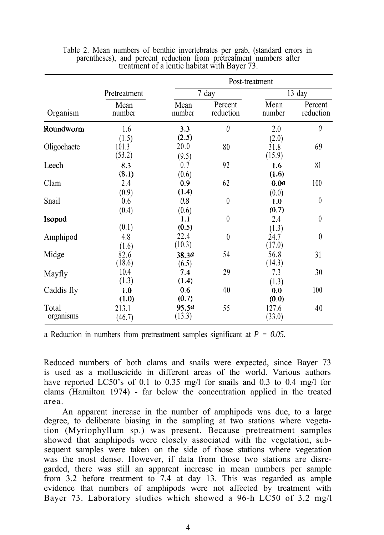|                    |                          | Post-treatment         |                      |                         |                      |  |  |  |  |
|--------------------|--------------------------|------------------------|----------------------|-------------------------|----------------------|--|--|--|--|
|                    | Pretreatment             |                        | 7 day                |                         | 13 day               |  |  |  |  |
| Organism           | Mean<br>number           | Mean<br>number         | Percent<br>reduction | Mean<br>number          | Percent<br>reduction |  |  |  |  |
| Roundworm          | 1.6                      | 3.3                    | $\theta$             | 2.0                     | $\theta$             |  |  |  |  |
| Oligochaete        | (1.5)<br>101.3<br>(53.2) | (2.5)<br>20.0<br>(9.5) | 80                   | (2.0)<br>31.8<br>(15.9) | 69                   |  |  |  |  |
| Leech              | 8.3<br>(8.1)             | 0.7<br>(0.6)           | 92                   | 1.6<br>(1.6)            | 81                   |  |  |  |  |
| Clam               | 2.4                      | 0.9<br>(1.4)           | 62                   | 0.0a                    | 100                  |  |  |  |  |
| Snail              | (0.9)<br>0.6             | 0.8                    | $\theta$             | (0.0)<br>1.0            | $\boldsymbol{0}$     |  |  |  |  |
| Isopod             | (0.4)<br>(0.1)           | (0.6)<br>1.1<br>(0.5)  | $\theta$             | (0.7)<br>2.4            | $\theta$             |  |  |  |  |
| Amphipod           | 4.8<br>(1.6)             | 22.4<br>(10.3)         | $\theta$             | (1.3)<br>24.7<br>(17.0) | $\boldsymbol{0}$     |  |  |  |  |
| Midge              | 82.6<br>(18.6)           | 38.3 <i>a</i><br>(6.5) | 54                   | 56.8<br>(14.3)          | 31                   |  |  |  |  |
| Mayfly             | 10.4<br>(1.3)            | 7.4<br>(1.4)           | 29                   | 7.3<br>(1.3)            | 30                   |  |  |  |  |
| Caddis fly         | 1.0<br>(1.0)             | 0.6<br>(0.7)           | 40                   | 0.0<br>(0.0)            | 100                  |  |  |  |  |
| Total<br>organisms | 213.1<br>(46.7)          | 95.5a<br>(13.3)        | 55                   | 127.6<br>(33.0)         | 40                   |  |  |  |  |

Table 2. Mean numbers of benthic invertebrates per grab, (standard errors in parentheses), and percent reduction from pretreatment numbers after treatment of a lentic habitat with Bayer 73.

a Reduction in numbers from pretreatment samples significant at *P = 0.05.*

Reduced numbers of both clams and snails were expected, since Bayer 73 is used as a molluscicide in different areas of the world. Various authors have reported LC50's of 0.1 to 0.35 mg/l for snails and 0.3 to 0.4 mg/l for clams (Hamilton 1974) - far below the concentration applied in the treated area.

An apparent increase in the number of amphipods was due, to a large degree, to deliberate biasing in the sampling at two stations where vegetation (Myriophyllum sp.) was present. Because pretreatment samples showed that amphipods were closely associated with the vegetation, subsequent samples were taken on the side of those stations where vegetation was the most dense. However, if data from those two stations are disregarded, there was still an apparent increase in mean numbers per sample from 3.2 before treatment to 7.4 at day 13. This was regarded as ample evidence that numbers of amphipods were not affected by treatment with Bayer 73. Laboratory studies which showed a 96-h LC50 of 3.2 mg/l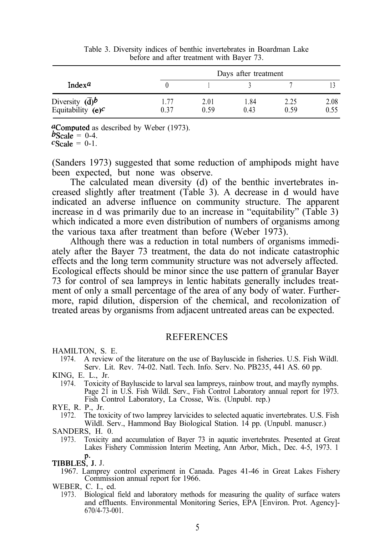|                                                      | Days after treatment |              |              |              |              |  |  |
|------------------------------------------------------|----------------------|--------------|--------------|--------------|--------------|--|--|
| Index <sup><math>a</math></sup>                      |                      |              |              |              |              |  |  |
| Diversity $(\overline{d})^b$<br>Equitability $(e)^c$ | 1.77<br>0.37         | 2.01<br>0.59 | 1.84<br>0.43 | 2.25<br>0.59 | 2.08<br>0.55 |  |  |

Table 3. Diversity indices of benthic invertebrates in Boardman Lake before and after treatment with Bayer 73.

aComputed as described by Weber (1973).  $b$ Scale = 0-4.

 $c$ Scale = 0-1.

(Sanders 1973) suggested that some reduction of amphipods might have been expected, but none was observe.

The calculated mean diversity (d) of the benthic invertebrates increased slightly after treatment (Table 3). A decrease in d would have indicated an adverse influence on community structure. The apparent increase in d was primarily due to an increase in "equitability" (Table 3) which indicated a more even distribution of numbers of organisms among the various taxa after treatment than before (Weber 1973).

Although there was a reduction in total numbers of organisms immediately after the Bayer 73 treatment, the data do not indicate catastrophic effects and the long term community structure was not adversely affected. Ecological effects should be minor since the use pattern of granular Bayer 73 for control of sea lampreys in lentic habitats generally includes treatment of only a small percentage of the area of any body of water. Furthermore, rapid dilution, dispersion of the chemical, and recolonization of treated areas by organisms from adjacent untreated areas can be expected.

#### **REFERENCES**

HAMILTON, S. E.

- 1974. A review of the literature on the use of Bayluscide in fisheries. U.S. Fish Wildl. Serv. Lit. Rev. 74-02. Natl. Tech. Info. Serv. No. PB235, 441 AS. 60 pp.
- KING, E. L., Jr.
	- 1974. Toxicity of Bayluscide to larval sea lampreys, rainbow trout, and mayfly nymphs. Page 21 in U.S. Fish Wildl. Serv., Fish Control Laboratory annual report for 1973. Fish Control Laboratory, La Crosse, Wis. (Unpubl. rep.)

1972. The toxicity of two lamprey larvicides to selected aquatic invertebrates. U.S. Fish Wildl. Serv., Hammond Bay Biological Station. 14 pp. (Unpubl. manuscr.)

SANDERS, H. 0.

1973. Toxicity and accumulation of Bayer 73 in aquatic invertebrates. Presented at Great Lakes Fishery Commission Interim Meeting, Ann Arbor, Mich., Dec. 4-5, 1973. 1 p.

TIBBLES, J. J.

- 1967. Lamprey control experiment in Canada. Pages 41-46 in Great Lakes Fishery Commission annual report for 1966.
- WEBER, C. I., ed.
	- 1973. Biological field and laboratory methods for measuring the quality of surface waters and effluents. Environmental Monitoring Series, EPA [Environ. Prot. Agency]- 670/4-73-001.

RYE, R. P., Jr.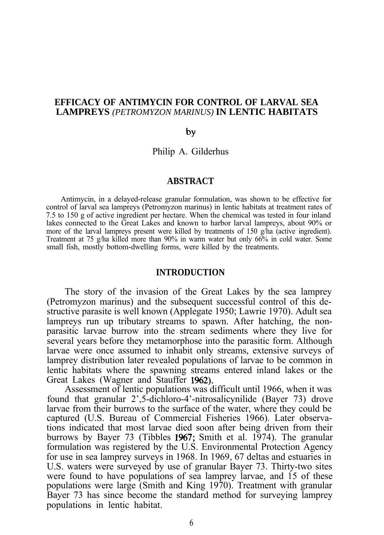## **EFFICACY OF ANTIMYCIN FOR CONTROL OF LARVAL SEA LAMPREYS** *(PETROMYZON MARINUS)* **IN LENTIC HABITATS**

#### by

Philip A. Gilderhus

#### **ABSTRACT**

Antimycin, in a delayed-release granular formulation, was shown to be effective for control of larval sea lampreys (Petromyzon marinus) in lentic habitats at treatment rates of 7.5 to 150 g of active ingredient per hectare. When the chemical was tested in four inland lakes connected to the Great Lakes and known to harbor larval lampreys, about 90% or more of the larval lampreys present were killed by treatments of 150  $\varrho/\hbar a$  (active ingredient). Treatment at 75 g/ha killed more than 90% in warm water but only 66% in cold water. Some small fish, mostly bottom-dwelling forms, were killed by the treatments.

## **INTRODUCTION**

The story of the invasion of the Great Lakes by the sea lamprey (Petromyzon marinus) and the subsequent successful control of this destructive parasite is well known (Applegate 1950; Lawrie 1970). Adult sea lampreys run up tributary streams to spawn. After hatching, the nonparasitic larvae burrow into the stream sediments where they live for several years before they metamorphose into the parasitic form. Although larvae were once assumed to inhabit only streams, extensive surveys of lamprey distribution later revealed populations of larvae to be common in lentic habitats where the spawning streams entered inland lakes or the Great Lakes (Wagner and Stauffer 1962).

Assessment of lentic populations was difficult until 1966, when it was found that granular 2',5-dichloro-4'-nitrosalicynilide (Bayer 73) drove larvae from their burrows to the surface of the water, where they could be captured (U.S. Bureau of Commercial Fisheries 1966). Later observations indicated that most larvae died soon after being driven from their burrows by Bayer 73 (Tibbles 1967; Smith et al. 1974). The granular formulation was registered by the U.S. Environmental Protection Agency for use in sea lamprey surveys in 1968. In 1969, 67 deltas and estuaries in U.S. waters were surveyed by use of granular Bayer 73. Thirty-two sites were found to have populations of sea lamprey larvae, and 15 of these populations were large (Smith and King 1970). Treatment with granular Bayer 73 has since become the standard method for surveying lamprey populations in lentic habitat.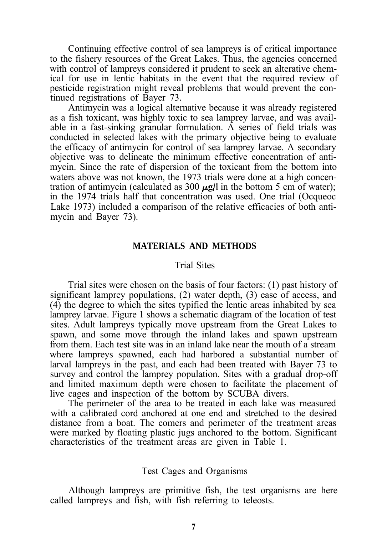Continuing effective control of sea lampreys is of critical importance to the fishery resources of the Great Lakes. Thus, the agencies concerned with control of lampreys considered it prudent to seek an alterative chemical for use in lentic habitats in the event that the required review of pesticide registration might reveal problems that would prevent the continued registrations of Bayer 73.

Antimycin was a logical alternative because it was already registered as a fish toxicant, was highly toxic to sea lamprey larvae, and was available in a fast-sinking granular formulation. A series of field trials was conducted in selected lakes with the primary objective being to evaluate the efficacy of antimycin for control of sea lamprey larvae. A secondary objective was to delineate the minimum effective concentration of antimycin. Since the rate of dispersion of the toxicant from the bottom into waters above was not known, the 1973 trials were done at a high concentration of antimycin (calculated as 300  $\mu$ g/l in the bottom 5 cm of water); in the 1974 trials half that concentration was used. One trial (Ocqueoc Lake 1973) included a comparison of the relative efficacies of both antimycin and Bayer 73).

## **MATERIALS AND METHODS**

#### Trial Sites

Trial sites were chosen on the basis of four factors: (1) past history of significant lamprey populations, (2) water depth, (3) ease of access, and (4) the degree to which the sites typified the lentic areas inhabited by sea lamprey larvae. Figure 1 shows a schematic diagram of the location of test sites. Adult lampreys typically move upstream from the Great Lakes to spawn, and some move through the inland lakes and spawn upstream from them. Each test site was in an inland lake near the mouth of a stream where lampreys spawned, each had harbored a substantial number of larval lampreys in the past, and each had been treated with Bayer 73 to survey and control the lamprey population. Sites with a gradual drop-off and limited maximum depth were chosen to facilitate the placement of live cages and inspection of the bottom by SCUBA divers.

The perimeter of the area to be treated in each lake was measured with a calibrated cord anchored at one end and stretched to the desired distance from a boat. The comers and perimeter of the treatment areas were marked by floating plastic jugs anchored to the bottom. Significant characteristics of the treatment areas are given in Table 1.

## Test Cages and Organisms

Although lampreys are primitive fish, the test organisms are here called lampreys and fish, with fish referring to teleosts.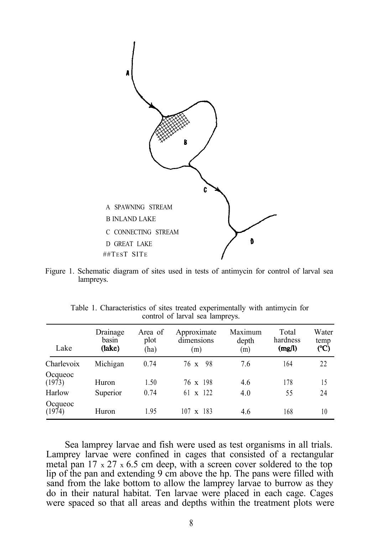

Figure 1. Schematic diagram of sites used in tests of antimycin for control of larval sea lampreys.

| Lake              | Drainage<br>basin<br>(lake) | Area of<br>plot<br>(ha) | Approximate<br>dimensions<br>(m) | Maximum<br>depth<br>(m) | Total<br>hardness<br>(mg/l) | Water<br>temp<br>(°C) |
|-------------------|-----------------------------|-------------------------|----------------------------------|-------------------------|-----------------------------|-----------------------|
| Charlevoix        | Michigan                    | 0.74                    | 76 x 98                          | 7.6                     | 164                         | 22                    |
| Ocqueoc<br>(1973) | Huron                       | 1.50                    | 76 x 198                         | 4.6                     | 178                         | 15                    |
| Harlow            | Superior                    | 0.74                    | 61 $\times$ 122                  | 4.0                     | 55                          | 24                    |
| Ocqueoc<br>(1974) | Huron                       | 1.95                    | $107 \times 183$                 | 4.6                     | 168                         | 10                    |

Table 1. Characteristics of sites treated experimentally with antimycin for control of larval sea lampreys.

Sea lamprey larvae and fish were used as test organisms in all trials. Lamprey larvae were confined in cages that consisted of a rectangular metal pan 17  $\times$  27  $\times$  6.5 cm deep, with a screen cover soldered to the top lip of the pan and extending 9 cm above the hp. The pans were filled with sand from the lake bottom to allow the lamprey larvae to burrow as they do in their natural habitat. Ten larvae were placed in each cage. Cages were spaced so that all areas and depths within the treatment plots were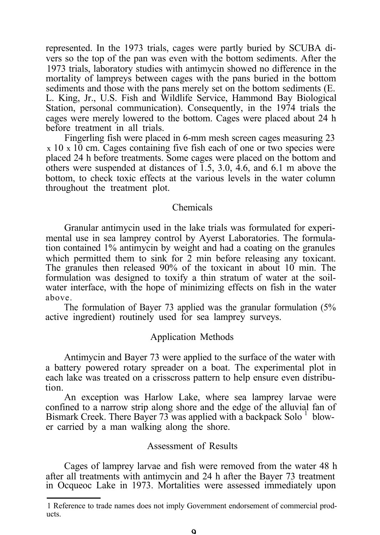represented. In the 1973 trials, cages were partly buried by SCUBA divers so the top of the pan was even with the bottom sediments. After the 1973 trials, laboratory studies with antimycin showed no difference in the mortality of lampreys between cages with the pans buried in the bottom sediments and those with the pans merely set on the bottom sediments (E. L. King, Jr., U.S. Fish and Wildlife Service, Hammond Bay Biological Station, personal communication). Consequently, in the 1974 trials the cages were merely lowered to the bottom. Cages were placed about 24 h before treatment in all trials.

Fingerling fish were placed in 6-mm mesh screen cages measuring 23  $x$  10 x 10 cm. Cages containing five fish each of one or two species were placed 24 h before treatments. Some cages were placed on the bottom and others were suspended at distances of  $1.5$ ,  $3.0$ ,  $4.6$ , and  $6.1$  m above the bottom, to check toxic effects at the various levels in the water column throughout the treatment plot.

## Chemicals

Granular antimycin used in the lake trials was formulated for experimental use in sea lamprey control by Ayerst Laboratories. The formulation contained 1% antimycin by weight and had a coating on the granules which permitted them to sink for 2 min before releasing any toxicant. The granules then released 90% of the toxicant in about 10 min. The formulation was designed to toxify a thin stratum of water at the soilwater interface, with the hope of minimizing effects on fish in the water above.

The formulation of Bayer 73 applied was the granular formulation (5% active ingredient) routinely used for sea lamprey surveys.

#### Application Methods

Antimycin and Bayer 73 were applied to the surface of the water with a battery powered rotary spreader on a boat. The experimental plot in each lake was treated on a crisscross pattern to help ensure even distribution.

An exception was Harlow Lake, where sea lamprey larvae were confined to a narrow strip along shore and the edge of the alluvial fan of Bismark Creek. There Bayer 73 was applied with a backpack Solo <sup>1</sup> blower carried by a man walking along the shore.

#### Assessment of Results

Cages of lamprey larvae and fish were removed from the water 48 h after all treatments with antimycin and 24 h after the Bayer 73 treatment in Ocqueoc Lake in 1973. Mortalities were assessed immediately upon

<sup>1</sup> Reference to trade names does not imply Government endorsement of commercial products.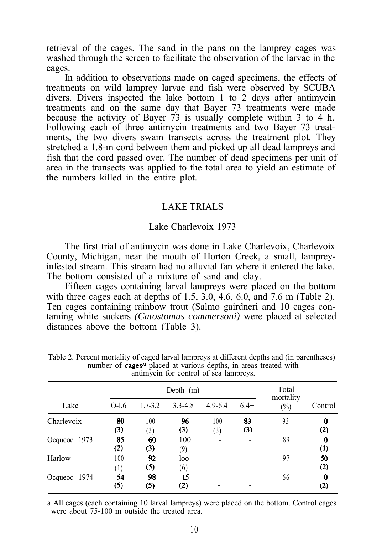retrieval of the cages. The sand in the pans on the lamprey cages was washed through the screen to facilitate the observation of the larvae in the cages.

In addition to observations made on caged specimens, the effects of treatments on wild lamprey larvae and fish were observed by SCUBA divers. Divers inspected the lake bottom 1 to 2 days after antimycin treatments and on the same day that Bayer 73 treatments were made because the activity of Bayer 73 is usually complete within 3 to 4 h. Following each of three antimycin treatments and two Bayer 73 treatments, the two divers swam transects across the treatment plot. They stretched a 1.8-m cord between them and picked up all dead lampreys and fish that the cord passed over. The number of dead specimens per unit of area in the transects was applied to the total area to yield an estimate of the numbers killed in the entire plot.

## LAKE TRIALS

## Lake Charlevoix 1973

The first trial of antimycin was done in Lake Charlevoix, Charlevoix County, Michigan, near the mouth of Horton Creek, a small, lampreyinfested stream. This stream had no alluvial fan where it entered the lake. The bottom consisted of a mixture of sand and clay.

Fifteen cages containing larval lampreys were placed on the bottom with three cages each at depths of  $1.5, 3.0, 4.6, 6.0,$  and  $7.6$  m (Table 2). Ten cages containing rainbow trout (Salmo gairdneri and 10 cages contaming white suckers *(Catostomus commersoni)* were placed at selected distances above the bottom (Table 3).

|              |                         | Depth $(m)$ |                         |                |           |                     |                        |  |
|--------------|-------------------------|-------------|-------------------------|----------------|-----------|---------------------|------------------------|--|
| Lake         | $O-1.6$                 | $1.7 - 3.2$ | $3.3 - 4.8$             | $4.9 - 6.4$    | $6.4+$    | mortality<br>$(\%)$ | Control                |  |
| Charlevoix   | 80<br>(3)               | 100<br>(3)  | 96<br>(3)               | 100<br>(3)     | 83<br>(3) | 93                  | 0<br>(2)               |  |
| Ocqueoc 1973 | 85<br>$\left( 2\right)$ | 60<br>(3)   | 100<br>(9)              | $\blacksquare$ |           | 89                  | 0<br>$\left( 1\right)$ |  |
| Harlow       | 100<br>(1)              | 92<br>(5)   | loo<br>(6)              |                |           | 97                  | 50<br>(2)              |  |
| Ocqueoc 1974 | 54<br>(5)               | 98<br>(5)   | 15<br>$\left( 2\right)$ |                |           | 66                  | 0<br>$\rm ^{(2)}$      |  |

Table 2. Percent mortality of caged larval lampreys at different depths and (in parentheses) number of cages<sup> $a$ </sup> placed at various depths, in areas treated with antimycin for control of sea lampreys.

a All cages (each containing 10 larval lampreys) were placed on the bottom. Control cages were about 75-100 m outside the treated area.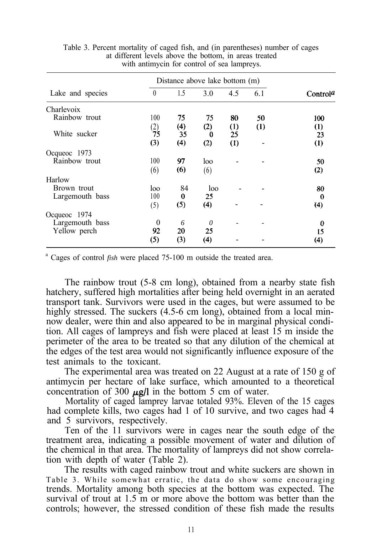| Distance above lake bottom (m) |                              |     |                  |     |          |
|--------------------------------|------------------------------|-----|------------------|-----|----------|
| $\theta$                       | 1.5                          | 3.0 | 4.5              | 6.1 | Controla |
|                                |                              |     |                  |     |          |
| 100                            | 75                           | 75  | 80               | 50  | 100      |
|                                | (4)                          |     | $\left(1\right)$ | (1) | (1)      |
|                                | 35                           | 0   | 25               |     | 23       |
| (3)                            | (4)                          | (2) | (1)              |     | (1)      |
|                                |                              |     |                  |     |          |
| 100                            | 97                           | loo |                  |     | 50       |
|                                | (6)                          |     |                  |     | (2)      |
|                                |                              |     |                  |     |          |
| loo                            | 84                           | loo |                  |     | 80       |
| 100                            | $\bf{0}$                     | 25  |                  |     | 0        |
|                                | (5)                          | (4) |                  |     | (4)      |
|                                |                              |     |                  |     |          |
| $\theta$                       | 6                            | 0   |                  |     | 0        |
| 92                             | 20                           | 25  |                  |     | 15       |
| (5)                            | (3)                          | (4) |                  |     | (4)      |
|                                | $\frac{2}{75}$<br>(6)<br>(5) |     | (2)<br>(6)       |     |          |

Table 3. Percent mortality of caged fish, and (in parentheses) number of cages at different levels above the bottom, in areas treated with antimycin for control of sea lampreys.

<sup>a</sup> Cages of control *fish* were placed 75-100 m outside the treated area.

The rainbow trout (5-8 cm long), obtained from a nearby state fish hatchery, suffered high mortalities after being held overnight in an aerated transport tank. Survivors were used in the cages, but were assumed to be highly stressed. The suckers (4.5-6 cm long), obtained from a local minnow dealer, were thin and also appeared to be in marginal physical condition. All cages of lampreys and fish were placed at least 15 m inside the perimeter of the area to be treated so that any dilution of the chemical at the edges of the test area would not significantly influence exposure of the test animals to the toxicant.

The experimental area was treated on 22 August at a rate of 150 g of antimycin per hectare of lake surface, which amounted to a theoretical concentration of 300  $\mu$ g/l in the bottom 5 cm of water.

Mortality of caged lamprey larvae totaled 93%. Eleven of the 15 cages had complete kills, two cages had 1 of 10 survive, and two cages had 4 and 5 survivors, respectively.

Ten of the 11 survivors were in cages near the south edge of the treatment area, indicating a possible movement of water and dilution of the chemical in that area. The mortality of lampreys did not show correlation with depth of water (Table 2).

The results with caged rainbow trout and white suckers are shown in Table 3. While somewhat erratic, the data do show some encouraging trends. Mortality among both species at the bottom was expected. The survival of trout at 1.5 m or more above the bottom was better than the controls; however, the stressed condition of these fish made the results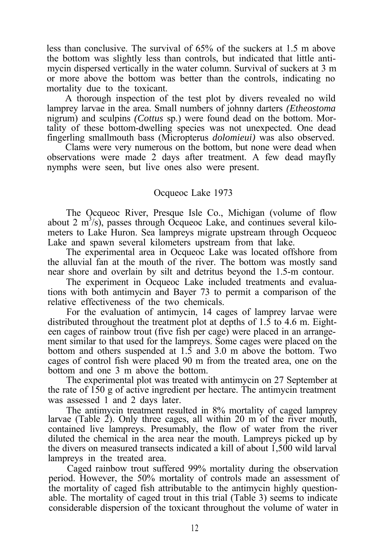less than conclusive. The survival of 65% of the suckers at 1.5 m above the bottom was slightly less than controls, but indicated that little antimycin dispersed vertically in the water column. Survival of suckers at 3 m or more above the bottom was better than the controls, indicating no mortality due to the toxicant.

A thorough inspection of the test plot by divers revealed no wild lamprey larvae in the area. Small numbers of johnny darters *(Etheostoma* nigrum) and sculpins *(Cottus* sp.) were found dead on the bottom. Mortality of these bottom-dwelling species was not unexpected. One dead fingerling smallmouth bass (Micropterus *dolomieui)* was also observed.

Clams were very numerous on the bottom, but none were dead when observations were made 2 days after treatment. A few dead mayfly nymphs were seen, but live ones also were present.

# Ocqueoc Lake 1973

The Ocqueoc River, Presque Isle Co., Michigan (volume of flow about 2  $m^3$ /s), passes through Ocqueoc Lake, and continues several kilometers to Lake Huron. Sea lampreys migrate upstream through Ocqueoc Lake and spawn several kilometers upstream from that lake.

The experimental area in Ocqueoc Lake was located offshore from the alluvial fan at the mouth of the river. The bottom was mostly sand near shore and overlain by silt and detritus beyond the 1.5-m contour.

The experiment in Ocqueoc Lake included treatments and evaluations with both antimycin and Bayer 73 to permit a comparison of the relative effectiveness of the two chemicals.

For the evaluation of antimycin, 14 cages of lamprey larvae were distributed throughout the treatment plot at depths of 1.5 to 4.6 m. Eighteen cages of rainbow trout (five fish per cage) were placed in an arrangement similar to that used for the lampreys. Some cages were placed on the bottom and others suspended at 1.5 and 3.0 m above the bottom. Two cages of control fish were placed 90 m from the treated area, one on the bottom and one 3 m above the bottom.

The experimental plot was treated with antimycin on 27 September at the rate of 150 g of active ingredient per hectare. The antimycin treatment was assessed 1 and 2 days later.

The antimycin treatment resulted in 8% mortality of caged lamprey larvae (Table 2). Only three cages, all within 20 m of the river mouth, contained live lampreys. Presumably, the flow of water from the river diluted the chemical in the area near the mouth. Lampreys picked up by the divers on measured transects indicated a kill of about 1,500 wild larval lampreys in the treated area.

Caged rainbow trout suffered 99% mortality during the observation period. However, the 50% mortality of controls made an assessment of the mortality of caged fish attributable to the antimycin highly questionable. The mortality of caged trout in this trial (Table 3) seems to indicate considerable dispersion of the toxicant throughout the volume of water in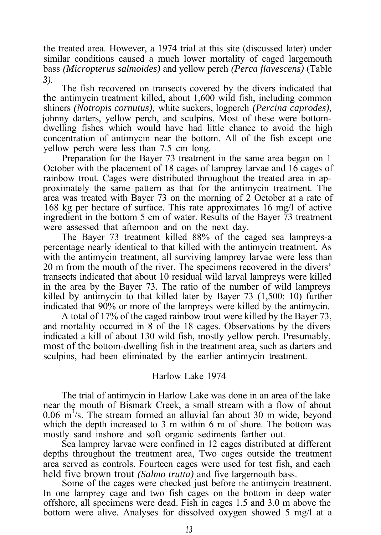the treated area. However, a 1974 trial at this site (discussed later) under similar conditions caused a much lower mortality of caged largemouth bass *(Micropterus salmoides)* and yellow perch *(Perca flavescens)* (Table *3).*

The fish recovered on transects covered by the divers indicated that the antimycin treatment killed, about 1,600 wild fish, including common shiners *(Notropis cornutus),* white suckers, logperch *(Percina caprodes),* johnny darters, yellow perch, and sculpins. Most of these were bottomdwelling fishes which would have had little chance to avoid the high concentration of antimycin near the bottom. All of the fish except one yellow perch were less than 7.5 cm long.

Preparation for the Bayer 73 treatment in the same area began on 1 October with the placement of 18 cages of lamprey larvae and 16 cages of rainbow trout. Cages were distributed throughout the treated area in approximately the same pattern as that for the antimycin treatment. The area was treated with Bayer 73 on the morning of 2 October at a rate of 168 kg per hectare of surface. This rate approximates 16 mg/l of active ingredient in the bottom 5 cm of water. Results of the Bayer 73 treatment were assessed that afternoon and on the next day.

The Bayer 73 treatment killed 88% of the caged sea lampreys-a percentage nearly identical to that killed with the antimycin treatment. As with the antimycin treatment, all surviving lamprey larvae were less than 20 m from the mouth of the river. The specimens recovered in the divers' transects indicated that about 10 residual wild larval lampreys were killed in the area by the Bayer 73. The ratio of the number of wild lampreys killed by antimycin to that killed later by Bayer 73 (1,500: 10) further indicated that 90% or more of the lampreys were killed by the antimycin.

A total of 17% of the caged rainbow trout were killed by the Bayer 73, and mortality occurred in 8 of the 18 cages. Observations by the divers indicated a kill of about 130 wild fish, mostly yellow perch. Presumably, most of the bottom-dwelling fish in the treatment area, such as darters and sculpins, had been eliminated by the earlier antimycin treatment.

## Harlow Lake 1974

The trial of antimycin in Harlow Lake was done in an area of the lake near the mouth of Bismark Creek, a small stream with a flow of about 0.06 m 3 /s. The stream formed an alluvial fan about 30 m wide, beyond which the depth increased to 3 m within 6 m of shore. The bottom was mostly sand inshore and soft organic sediments farther out.

Sea lamprey larvae were confined in 12 cages distributed at different depths throughout the treatment area, Two cages outside the treatment area served as controls. Fourteen cages were used for test fish, and each held five brown trout *(Salmo trutta)* and five largemouth bass.

Some of the cages were checked just before the antimycin treatment. In one lamprey cage and two fish cages on the bottom in deep water offshore, all specimens were dead. Fish in cages 1.5 and 3.0 m above the bottom were alive. Analyses for dissolved oxygen showed 5 mg/l at a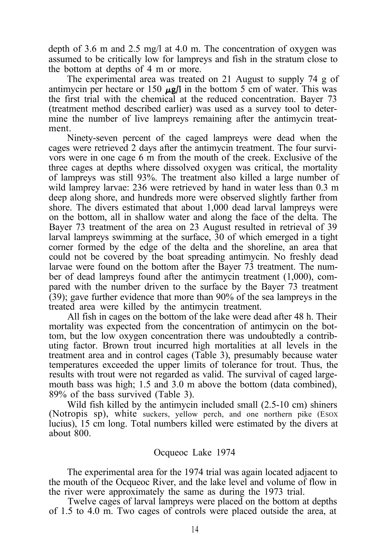depth of  $3.6$  m and  $2.5$  mg/l at  $4.0$  m. The concentration of oxygen was assumed to be critically low for lampreys and fish in the stratum close to the bottom at depths of 4 m or more.

The experimental area was treated on 21 August to supply 74 g of antimycin per hectare or 150  $\mu$ g/l in the bottom 5 cm of water. This was the first trial with the chemical at the reduced concentration. Bayer 73 (treatment method described earlier) was used as a survey tool to determine the number of live lampreys remaining after the antimycin treatment.

Ninety-seven percent of the caged lampreys were dead when the cages were retrieved 2 days after the antimycin treatment. The four survivors were in one cage 6 m from the mouth of the creek. Exclusive of the three cages at depths where dissolved oxygen was critical, the mortality of lampreys was still 93%. The treatment also killed a large number of wild lamprey larvae: 236 were retrieved by hand in water less than 0.3 m deep along shore, and hundreds more were observed slightly farther from shore. The divers estimated that about 1,000 dead larval lampreys were on the bottom, all in shallow water and along the face of the delta. The Bayer 73 treatment of the area on 23 August resulted in retrieval of 39 larval lampreys swimming at the surface, 30 of which emerged in a tight corner formed by the edge of the delta and the shoreline, an area that could not be covered by the boat spreading antimycin. No freshly dead larvae were found on the bottom after the Bayer 73 treatment. The number of dead lampreys found after the antimycin treatment (1,000), compared with the number driven to the surface by the Bayer 73 treatment (39); gave further evidence that more than 90% of the sea lampreys in the treated area were killed by the antimycin treatment.

All fish in cages on the bottom of the lake were dead after 48 h. Their mortality was expected from the concentration of antimycin on the bottom, but the low oxygen concentration there was undoubtedly a contributing factor. Brown trout incurred high mortalities at all levels in the treatment area and in control cages (Table 3), presumably because water temperatures exceeded the upper limits of tolerance for trout. Thus, the results with trout were not regarded as valid. The survival of caged largemouth bass was high; 1.5 and 3.0 m above the bottom (data combined), 89% of the bass survived (Table 3).

Wild fish killed by the antimycin included small (2.5-10 cm) shiners (Notropis sp), white suckers, yellow perch, and one northern pike (ESOX lucius), 15 cm long. Total numbers killed were estimated by the divers at about 800.

#### Ocqueoc Lake 1974

The experimental area for the 1974 trial was again located adjacent to the mouth of the Ocqueoc River, and the lake level and volume of flow in the river were approximately the same as during the 1973 trial.

Twelve cages of larval lampreys were placed on the bottom at depths of 1.5 to 4.0 m. Two cages of controls were placed outside the area, at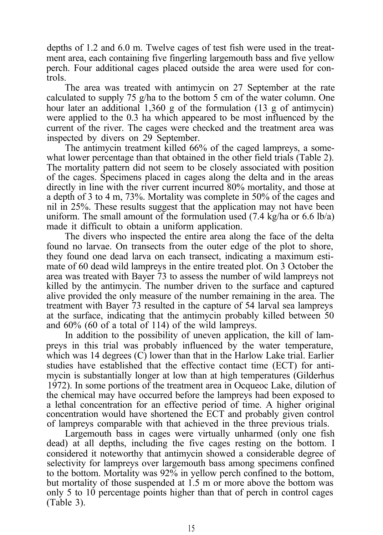depths of 1.2 and 6.0 m. Twelve cages of test fish were used in the treatment area, each containing five fingerling largemouth bass and five yellow perch. Four additional cages placed outside the area were used for controls.

The area was treated with antimycin on 27 September at the rate calculated to supply 75 g/ha to the bottom 5 cm of the water column. One hour later an additional 1,360 g of the formulation (13 g of antimycin) were applied to the 0.3 ha which appeared to be most influenced by the current of the river. The cages were checked and the treatment area was inspected by divers on 29 September.

The antimycin treatment killed 66% of the caged lampreys, a somewhat lower percentage than that obtained in the other field trials (Table 2). The mortality pattern did not seem to be closely associated with position of the cages. Specimens placed in cages along the delta and in the areas directly in line with the river current incurred 80% mortality, and those at a depth of 3 to 4 m, 73%. Mortality was complete in 50% of the cages and nil in 25%. These results suggest that the application may not have been uniform. The small amount of the formulation used  $(7.4 \text{ kg/ha or } 6.6 \text{ lb/a})$ made it difficult to obtain a uniform application.

The divers who inspected the entire area along the face of the delta found no larvae. On transects from the outer edge of the plot to shore, they found one dead larva on each transect, indicating a maximum estimate of 60 dead wild lampreys in the entire treated plot. On 3 October the area was treated with Bayer 73 to assess the number of wild lampreys not killed by the antimycin. The number driven to the surface and captured alive provided the only measure of the number remaining in the area. The treatment with Bayer 73 resulted in the capture of 54 larval sea lampreys at the surface, indicating that the antimycin probably killed between 50 and 60% (60 of a total of 114) of the wild lampreys.

In addition to the possibility of uneven application, the kill of lampreys in this trial was probably influenced by the water temperature, which was 14 degrees (C) lower than that in the Harlow Lake trial. Earlier studies have established that the effective contact time (ECT) for antimycin is substantially longer at low than at high temperatures (Gilderhus 1972). In some portions of the treatment area in Ocqueoc Lake, dilution of the chemical may have occurred before the lampreys had been exposed to a lethal concentration for an effective period of time. A higher original concentration would have shortened the ECT and probably given control of lampreys comparable with that achieved in the three previous trials.

Largemouth bass in cages were virtually unharmed (only one fish dead) at all depths, including the five cages resting on the bottom. I considered it noteworthy that antimycin showed a considerable degree of selectivity for lampreys over largemouth bass among specimens confined to the bottom. Mortality was 92% in yellow perch confined to the bottom, but mortality of those suspended at 1.5 m or more above the bottom was only 5 to 10 percentage points higher than that of perch in control cages (Table 3).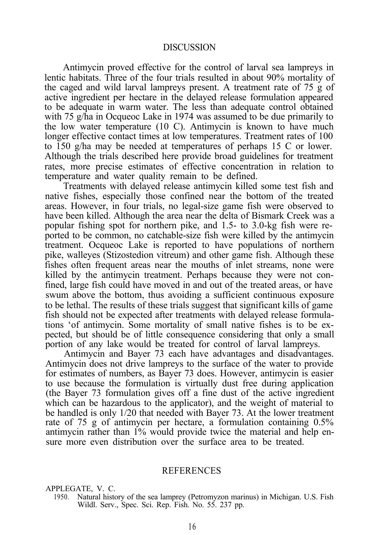#### **DISCUSSION**

Antimycin proved effective for the control of larval sea lampreys in lentic habitats. Three of the four trials resulted in about 90% mortality of the caged and wild larval lampreys present. A treatment rate of 75 g of active ingredient per hectare in the delayed release formulation appeared to be adequate in warm water. The less than adequate control obtained with 75 g/ha in Ocqueoc Lake in 1974 was assumed to be due primarily to the low water temperature (10 C). Antimycin is known to have much longer effective contact times at low temperatures. Treatment rates of 100 to 150 g/ha may be needed at temperatures of perhaps 15 C or lower. Although the trials described here provide broad guidelines for treatment rates, more precise estimates of effective concentration in relation to temperature and water quality remain to be defined.

Treatments with delayed release antimycin killed some test fish and native fishes, especially those confined near the bottom of the treated areas. However, in four trials, no legal-size game fish were observed to have been killed. Although the area near the delta of Bismark Creek was a popular fishing spot for northern pike, and 1.5- to 3.0-kg fish were reported to be common, no catchable-size fish were killed by the antimycin treatment. Ocqueoc Lake is reported to have populations of northern pike, walleyes (Stizostedion vitreum) and other game fish. Although these fishes often frequent areas near the mouths of inlet streams, none were killed by the antimycin treatment. Perhaps because they were not confined, large fish could have moved in and out of the treated areas, or have swum above the bottom, thus avoiding a sufficient continuous exposure to be lethal. The results of these trials suggest that significant kills of game fish should not be expected after treatments with delayed release formulations 'of antimycin. Some mortality of small native fishes is to be expected, but should be of little consequence considering that only a small portion of any lake would be treated for control of larval lampreys.

Antimycin and Bayer 73 each have advantages and disadvantages. Antimycin does not drive lampreys to the surface of the water to provide for estimates of numbers, as Bayer 73 does. However, antimycin is easier to use because the formulation is virtually dust free during application (the Bayer 73 formulation gives off a fine dust of the active ingredient which can be hazardous to the applicator), and the weight of material to be handled is only 1/20 that needed with Bayer 73. At the lower treatment rate of 75 g of antimycin per hectare, a formulation containing 0.5% antimycin rather than 1% would provide twice the material and help ensure more even distribution over the surface area to be treated.

#### **REFERENCES**

APPLEGATE, V. C.

1950. Natural history of the sea lamprey (Petromyzon marinus) in Michigan. U.S. Fish Wildl. Serv., Spec. Sci. Rep. Fish. No. 55. 237 pp.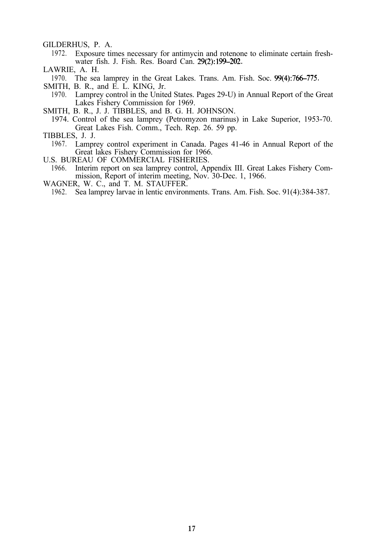GILDERHUS, P. A.

1972. Exposure times necessary for antimycin and rotenone to eliminate certain freshwater fish. J. Fish. Res. Board Can. 29(2):199-202.

LAWRIE, A. H.

1970. The sea lamprey in the Great Lakes. Trans. Am. Fish. Soc. 99(4):766-775.

- SMITH, B. R., and E. L. KING, Jr.
- 1970. Lamprey control in the United States. Pages 29-U) in Annual Report of the Great Lakes Fishery Commission for 1969.
- SMITH, B. R., J. J. TIBBLES, and B. G. H. JOHNSON.
- 1974. Control of the sea lamprey (Petromyzon marinus) in Lake Superior, 1953-70. Great Lakes Fish. Comm., Tech. Rep. 26. 59 pp.
- TIBBLES, J. J.
	- 1967. Lamprey control experiment in Canada. Pages 41-46 in Annual Report of the Great lakes Fishery Commission for 1966.
- U.S. BUREAU OF COMMERCIAL FISHERIES.
	- 1966. Interim report on sea lamprey control, Appendix III. Great Lakes Fishery Commission, Report of interim meeting, Nov. 30-Dec. 1, 1966.
- WAGNER, W. C., and T. M. STAUFFER.

1962. Sea lamprey larvae in lentic environments. Trans. Am. Fish. Soc. 91(4):384-387.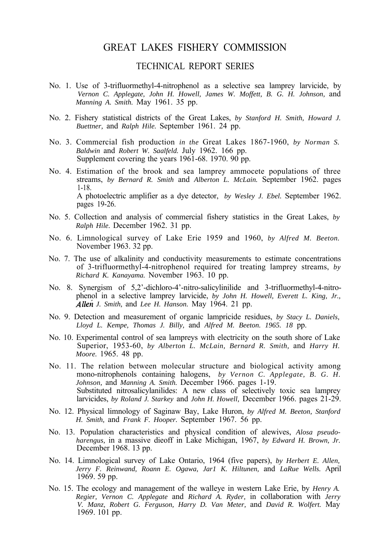## GREAT LAKES FISHERY COMMISSION

## TECHNICAL REPORT SERIES

- No. 1. Use of 3-trifluormethyl-4-nitrophenol as a selective sea lamprey larvicide, by *Vernon C. Applegate, John H. Howell, James W. Moffett, B. G. H. Johnson,* and *Manning A. Smith.* May 1961. 35 pp.
- No. 2. Fishery statistical districts of the Great Lakes, *by Stanford H. Smith, Howard J. Buettner,* and *Ralph Hile.* September 1961. 24 pp.
- No. 3. Commercial fish production *in the* Great Lakes 1867-1960, *by Norman S. Baldwin* and *Robert W. Saalfeld.* July 1962. 166 pp. Supplement covering the years 1961-68. 1970. 90 pp.
- No. 4. Estimation of the brook and sea lamprey ammocete populations of three streams, *by Bernard R. Smith* and *Alberton L. McLain.* September 1962. pages 1-18. A photoelectric amplifier as a dye detector, *by Wesley J. Ebel.* September 1962. pages 19-26.
- No. 5. Collection and analysis of commercial fishery statistics in the Great Lakes, *by Ralph Hile.* December 1962. 31 pp.
- No. 6. Limnological survey of Lake Erie 1959 and 1960, *by Alfred M. Beeton.* November 1963. 32 pp.
- No. 7. The use of alkalinity and conductivity measurements to estimate concentrations of 3-trifluormethyl-4-nitrophenol required for treating lamprey streams, *by Richard K. Kanayama.* November 1963. 10 pp.
- No. 8. Synergism of 5,2'-dichloro-4'-nitro-salicylinilide and 3-trifluormethyl-4-nitrophenol in a selective lamprey larvicide, *by John H. Howell, Everett L. King, Jr., Alleii J. Smith,* and *Lee H. Hanson.* May 1964. 21 pp.
- No. 9. Detection and measurement of organic lampricide residues, *by Stacy L. Daniels, Lloyd L. Kempe, Thomas J. Billy,* and *Alfred M. Beeton. 1965. 18* pp.
- No. 10. Experimental control of sea lampreys with electricity on the south shore of Lake Superior, 1953-60, *by Alberton L. McLain, Bernard R. Smith,* and *Harry H. Moore.* 1965. 48 pp.
- No. 11. The relation between molecular structure and biological activity among mono-nitrophenols containing halogens, *by Vernon C. Applegate, B. G. H. Johnson,* and *Manning A. Smith.* December 1966. pages 1-19. Substituted nitrosalicylanilides: A new class of selectively toxic sea lamprey larvicides, *by Roland J. Starkey* and *John H. Howell,* December 1966. pages 21-29.
- No. 12. Physical limnology of Saginaw Bay, Lake Huron, *by Alfred M. Beeton, Stanford H. Smith,* and *Frank F. Hooper.* September 1967. 56 pp.
- No. 13. Population characteristics and physical condition of alewives, *Alosa pseudoharengus,* in a massive dieoff in Lake Michigan, 1967, *by Edward H. Brown, Jr.* December 1968. 13 pp.
- No. 14. Limnological survey of Lake Ontario, 1964 (five papers), *by Herbert E. Allen, Jerry F. Reinwand, Roann E. Ogawa, Jar1 K. Hiltunen,* and *LaRue Wells.* April 1969. 59 pp.
- No. 15. The ecology and management of the walleye in western Lake Erie, by *Henry A. Regier, Vernon C. Applegate* and *Richard A. Ryder,* in collaboration with *Jerry V. Manz, Robert G. Ferguson, Harry D. Van Meter,* and *David R. Wolfert.* May 1969. 101 pp.